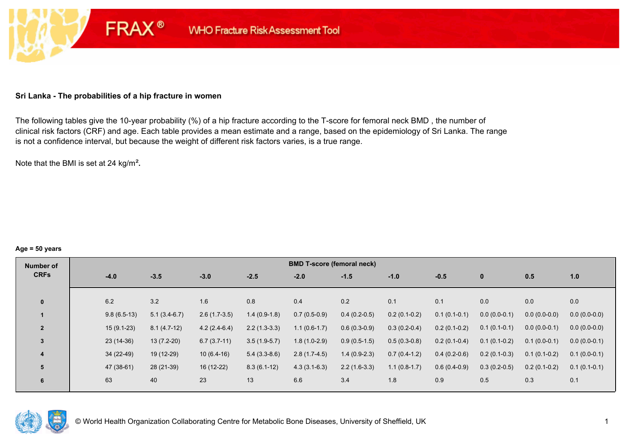## **Sri Lanka - The probabilities of a hip fracture in women**

**FRAX®** 

The following tables give the 10-year probability (%) of a hip fracture according to the T-score for femoral neck BMD , the number of clinical risk factors (CRF) and age. Each table provides a mean estimate and a range, based on the epidemiology of Sri Lanka. The range is not a confidence interval, but because the weight of different risk factors varies, is a true range.

Note that the BMI is set at 24 kg/m²**.** 

#### **Age = 50 years**

| Number of      |        |               |                |                |                | <b>BMD T-score (femoral neck)</b> |                |                |                |                |                |                |
|----------------|--------|---------------|----------------|----------------|----------------|-----------------------------------|----------------|----------------|----------------|----------------|----------------|----------------|
| <b>CRFs</b>    | $-4.0$ |               | $-3.5$         | $-3.0$         | $-2.5$         | $-2.0$                            | $-1.5$         | $-1.0$         | $-0.5$         | $\mathbf{0}$   | 0.5            | 1.0            |
|                |        |               |                |                |                |                                   |                |                |                |                |                |                |
| $\mathbf{0}$   | 6.2    |               | 3.2            | 1.6            | 0.8            | 0.4                               | 0.2            | 0.1            | 0.1            | 0.0            | 0.0            | 0.0            |
|                |        | $9.8(6.5-13)$ | $5.1(3.4-6.7)$ | $2.6(1.7-3.5)$ | $1.4(0.9-1.8)$ | $0.7(0.5-0.9)$                    | $0.4(0.2-0.5)$ | $0.2(0.1-0.2)$ | $0.1(0.1-0.1)$ | $0.0(0.0-0.1)$ | $0.0(0.0-0.0)$ | $0.0(0.0-0.0)$ |
| $\overline{2}$ |        | $15(9.1-23)$  | $8.1(4.7-12)$  | $4.2(2.4-6.4)$ | $2.2(1.3-3.3)$ | $1.1(0.6-1.7)$                    | $0.6(0.3-0.9)$ | $0.3(0.2-0.4)$ | $0.2(0.1-0.2)$ | $0.1(0.1-0.1)$ | $0.0(0.0-0.1)$ | $0.0(0.0-0.0)$ |
| 3              |        | $23(14-36)$   | $13(7.2-20)$   | $6.7(3.7-11)$  | $3.5(1.9-5.7)$ | $1.8(1.0-2.9)$                    | $0.9(0.5-1.5)$ | $0.5(0.3-0.8)$ | $0.2(0.1-0.4)$ | $0.1(0.1-0.2)$ | $0.1(0.0-0.1)$ | $0.0(0.0-0.1)$ |
| 4              |        | $34(22-49)$   | 19 (12-29)     | $10(6.4-16)$   | $5.4(3.3-8.6)$ | $2.8(1.7-4.5)$                    | $1.4(0.9-2.3)$ | $0.7(0.4-1.2)$ | $0.4(0.2-0.6)$ | $0.2(0.1-0.3)$ | $0.1(0.1-0.2)$ | $0.1(0.0-0.1)$ |
| 5              |        | 47 (38-61)    | 28 (21-39)     | 16 (12-22)     | $8.3(6.1-12)$  | $4.3(3.1-6.3)$                    | $2.2(1.6-3.3)$ | $1.1(0.8-1.7)$ | $0.6(0.4-0.9)$ | $0.3(0.2-0.5)$ | $0.2(0.1-0.2)$ | $0.1(0.1-0.1)$ |
| 6              | 63     |               | 40             | 23             | 13             | 6.6                               | 3.4            | 1.8            | 0.9            | 0.5            | 0.3            | 0.1            |

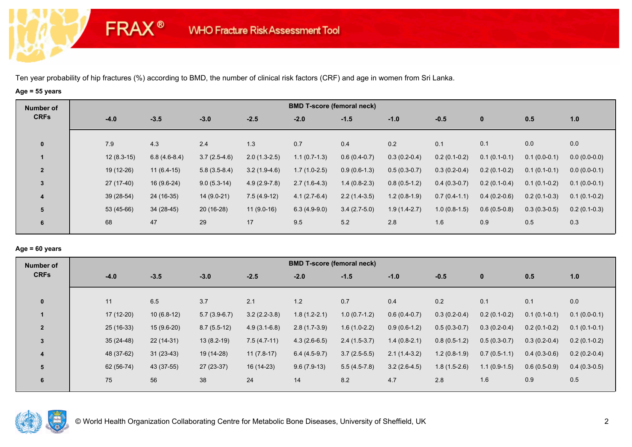**FRAX®** 

# **Age = 55 years**

| Number of               |              |                |                |                | <b>BMD T-score (femoral neck)</b> |                |                |                |                |                |                |
|-------------------------|--------------|----------------|----------------|----------------|-----------------------------------|----------------|----------------|----------------|----------------|----------------|----------------|
| <b>CRFs</b>             | $-4.0$       | $-3.5$         | $-3.0$         | $-2.5$         | $-2.0$                            | $-1.5$         | $-1.0$         | $-0.5$         | $\bf{0}$       | 0.5            | 1.0            |
| $\mathbf 0$             | 7.9          | 4.3            | 2.4            | 1.3            | 0.7                               | 0.4            | 0.2            | 0.1            | 0.1            | 0.0            | 0.0            |
|                         |              |                |                |                |                                   |                |                |                |                |                |                |
|                         | $12(8.3-15)$ | $6.8(4.6-8.4)$ | $3.7(2.5-4.6)$ | $2.0(1.3-2.5)$ | $1.1(0.7-1.3)$                    | $0.6(0.4-0.7)$ | $0.3(0.2-0.4)$ | $0.2(0.1-0.2)$ | $0.1(0.1-0.1)$ | $0.1(0.0-0.1)$ | $0.0(0.0-0.0)$ |
| $\overline{2}$          | 19 (12-26)   | $11(6.4-15)$   | $5.8(3.5-8.4)$ | $3.2(1.9-4.6)$ | $1.7(1.0-2.5)$                    | $0.9(0.6-1.3)$ | $0.5(0.3-0.7)$ | $0.3(0.2-0.4)$ | $0.2(0.1-0.2)$ | $0.1(0.1-0.1)$ | $0.0(0.0-0.1)$ |
| $\mathbf{3}$            | 27 (17-40)   | $16(9.6-24)$   | $9.0(5.3-14)$  | $4.9(2.9-7.8)$ | $2.7(1.6-4.3)$                    | $1.4(0.8-2.3)$ | $0.8(0.5-1.2)$ | $0.4(0.3-0.7)$ | $0.2(0.1-0.4)$ | $0.1(0.1-0.2)$ | $0.1(0.0-0.1)$ |
| $\overline{\mathbf{4}}$ | 39 (28-54)   | 24 (16-35)     | $14(9.0-21)$   | $7.5(4.9-12)$  | $4.1(2.7-6.4)$                    | $2.2(1.4-3.5)$ | $1.2(0.8-1.9)$ | $0.7(0.4-1.1)$ | $0.4(0.2-0.6)$ | $0.2(0.1-0.3)$ | $0.1(0.1-0.2)$ |
| 5                       | 53 (45-66)   | $34(28-45)$    | $20(16-28)$    | $11(9.0-16)$   | $6.3(4.9-9.0)$                    | $3.4(2.7-5.0)$ | $1.9(1.4-2.7)$ | $1.0(0.8-1.5)$ | $0.6(0.5-0.8)$ | $0.3(0.3-0.5)$ | $0.2(0.1-0.3)$ |
| 6                       | 68           | 47             | 29             | 17             | 9.5                               | 5.2            | 2.8            | 1.6            | 0.9            | 0.5            | 0.3            |

## **Age = 60 years**

| Number of               |             |              |                |                | <b>BMD T-score (femoral neck)</b> |                |                |                |                |                |                |
|-------------------------|-------------|--------------|----------------|----------------|-----------------------------------|----------------|----------------|----------------|----------------|----------------|----------------|
| <b>CRFs</b>             | $-4.0$      | $-3.5$       | $-3.0$         | $-2.5$         | $-2.0$                            | $-1.5$         | $-1.0$         | $-0.5$         | $\mathbf{0}$   | 0.5            | 1.0            |
| $\mathbf{0}$            | 11          | 6.5          | 3.7            | 2.1            | 1.2                               | 0.7            | 0.4            | 0.2            | 0.1            | 0.1            | 0.0            |
|                         | $17(12-20)$ | $10(6.8-12)$ | $5.7(3.9-6.7)$ | $3.2(2.2-3.8)$ | $1.8(1.2-2.1)$                    | $1.0(0.7-1.2)$ | $0.6(0.4-0.7)$ | $0.3(0.2-0.4)$ | $0.2(0.1-0.2)$ | $0.1(0.1-0.1)$ | $0.1(0.0-0.1)$ |
| $\overline{2}$          | $25(16-33)$ | $15(9.6-20)$ | $8.7(5.5-12)$  | $4.9(3.1-6.8)$ | $2.8(1.7-3.9)$                    | $1.6(1.0-2.2)$ | $0.9(0.6-1.2)$ | $0.5(0.3-0.7)$ | $0.3(0.2-0.4)$ | $0.2(0.1-0.2)$ | $0.1(0.1-0.1)$ |
| $\overline{3}$          | $35(24-48)$ | $22(14-31)$  | $13(8.2-19)$   | $7.5(4.7-11)$  | $4.3(2.6-6.5)$                    | $2.4(1.5-3.7)$ | $1.4(0.8-2.1)$ | $0.8(0.5-1.2)$ | $0.5(0.3-0.7)$ | $0.3(0.2-0.4)$ | $0.2(0.1-0.2)$ |
| $\overline{\mathbf{4}}$ | 48 (37-62)  | $31(23-43)$  | 19 (14-28)     | $11(7.8-17)$   | $6.4(4.5-9.7)$                    | $3.7(2.5-5.5)$ | $2.1(1.4-3.2)$ | $1.2(0.8-1.9)$ | $0.7(0.5-1.1)$ | $0.4(0.3-0.6)$ | $0.2(0.2-0.4)$ |
| 5                       | 62 (56-74)  | 43 (37-55)   | 27 (23-37)     | 16 (14-23)     | $9.6(7.9-13)$                     | $5.5(4.5-7.8)$ | $3.2(2.6-4.5)$ | $1.8(1.5-2.6)$ | $1.1(0.9-1.5)$ | $0.6(0.5-0.9)$ | $0.4(0.3-0.5)$ |
| 6                       | 75          | 56           | 38             | 24             | 14                                | 8.2            | 4.7            | 2.8            | 1.6            | 0.9            | 0.5            |

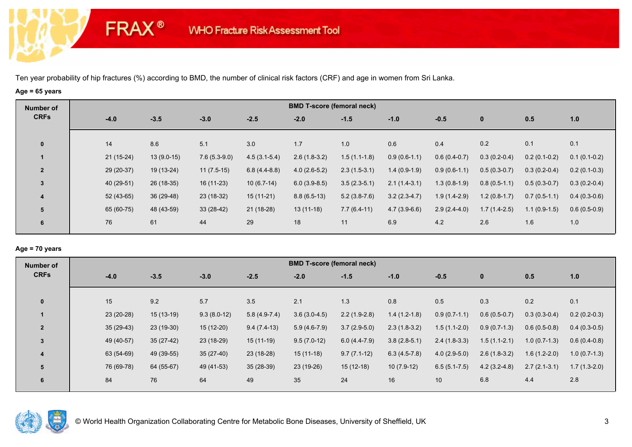**FRAX®** 

# **Age = 65 years**

| Number of      |             |              |                |                | <b>BMD T-score (femoral neck)</b> |                |                |                |                |                |                |
|----------------|-------------|--------------|----------------|----------------|-----------------------------------|----------------|----------------|----------------|----------------|----------------|----------------|
| <b>CRFs</b>    | $-4.0$      | $-3.5$       | $-3.0$         | $-2.5$         | $-2.0$                            | $-1.5$         | $-1.0$         | $-0.5$         | $\mathbf 0$    | 0.5            | 1.0            |
| $\mathbf 0$    | 14          | 8.6          | 5.1            | 3.0            | 1.7                               | 1.0            | 0.6            | 0.4            | 0.2            | 0.1            | 0.1            |
|                | $21(15-24)$ | $13(9.0-15)$ | $7.6(5.3-9.0)$ | $4.5(3.1-5.4)$ | $2.6(1.8-3.2)$                    | $1.5(1.1-1.8)$ | $0.9(0.6-1.1)$ | $0.6(0.4-0.7)$ | $0.3(0.2-0.4)$ | $0.2(0.1-0.2)$ | $0.1(0.1-0.2)$ |
| $\overline{2}$ | 29 (20-37)  | 19 (13-24)   | $11(7.5-15)$   | $6.8(4.4-8.8)$ | $4.0(2.6-5.2)$                    | $2.3(1.5-3.1)$ | $1.4(0.9-1.9)$ | $0.9(0.6-1.1)$ | $0.5(0.3-0.7)$ | $0.3(0.2-0.4)$ | $0.2(0.1-0.3)$ |
| 3              | 40 (29-51)  | 26 (18-35)   | 16 (11-23)     | $10(6.7-14)$   | $6.0(3.9-8.5)$                    | $3.5(2.3-5.1)$ | $2.1(1.4-3.1)$ | $1.3(0.8-1.9)$ | $0.8(0.5-1.1)$ | $0.5(0.3-0.7)$ | $0.3(0.2-0.4)$ |
| 4              | $52(43-65)$ | 36 (29-48)   | 23 (18-32)     | $15(11-21)$    | $8.8(6.5-13)$                     | $5.2(3.8-7.6)$ | $3.2(2.3-4.7)$ | $1.9(1.4-2.9)$ | $1.2(0.8-1.7)$ | $0.7(0.5-1.1)$ | $0.4(0.3-0.6)$ |
| 5              | 65 (60-75)  | 48 (43-59)   | $33(28-42)$    | $21(18-28)$    | $13(11-18)$                       | $7.7(6.4-11)$  | $4.7(3.9-6.6)$ | $2.9(2.4-4.0)$ | $1.7(1.4-2.5)$ | $1.1(0.9-1.5)$ | $0.6(0.5-0.9)$ |
| 6              | 76          | 61           | 44             | 29             | 18                                | 11             | 6.9            | 4.2            | 2.6            | 1.6            | 1.0            |

## **Age = 70 years**

| Number of                     | <b>BMD T-score (femoral neck)</b> |               |                |                |                |                |                  |                |                |                |  |  |  |
|-------------------------------|-----------------------------------|---------------|----------------|----------------|----------------|----------------|------------------|----------------|----------------|----------------|--|--|--|
| <b>CRFs</b><br>$-4.0$         | $-3.5$                            | $-3.0$        | $-2.5$         | $-2.0$         | $-1.5$         | $-1.0$         | $-0.5$           | $\mathbf 0$    | 0.5            | 1.0            |  |  |  |
| 15<br>$\mathbf{0}$            | 9.2                               | 5.7           | 3.5            | 2.1            | 1.3            | 0.8            | 0.5              | 0.3            | 0.2            | 0.1            |  |  |  |
|                               |                                   |               |                |                |                |                |                  |                |                |                |  |  |  |
| 23 (20-28)                    | $15(13-19)$                       | $9.3(8.0-12)$ | $5.8(4.9-7.4)$ | $3.6(3.0-4.5)$ | $2.2(1.9-2.8)$ | $1.4(1.2-1.8)$ | $0.9(0.7-1.1)$   | $0.6(0.5-0.7)$ | $0.3(0.3-0.4)$ | $0.2(0.2-0.3)$ |  |  |  |
| $35(29-43)$<br>$\overline{2}$ | $23(19-30)$                       | $15(12-20)$   | $9.4(7.4-13)$  | $5.9(4.6-7.9)$ | $3.7(2.9-5.0)$ | $2.3(1.8-3.2)$ | $1.5(1.1-2.0)$   | $0.9(0.7-1.3)$ | $0.6(0.5-0.8)$ | $0.4(0.3-0.5)$ |  |  |  |
| 49 (40-57)<br>$\overline{3}$  | $35(27-42)$                       | 23 (18-29)    | 15 (11-19)     | $9.5(7.0-12)$  | $6.0(4.4-7.9)$ | $3.8(2.8-5.1)$ | $2.4(1.8-3.3)$   | $1.5(1.1-2.1)$ | $1.0(0.7-1.3)$ | $0.6(0.4-0.8)$ |  |  |  |
| 63 (54-69)<br>4               | 49 (39-55)                        | $35(27-40)$   | 23 (18-28)     | $15(11-18)$    | $9.7(7.1-12)$  | $6.3(4.5-7.8)$ | $4.0(2.9-5.0)$   | $2.6(1.8-3.2)$ | $1.6(1.2-2.0)$ | $1.0(0.7-1.3)$ |  |  |  |
| 76 (69-78)<br>5               | 64 (55-67)                        | 49 (41-53)    | $35(28-39)$    | 23 (19-26)     | $15(12-18)$    | $10(7.9-12)$   | $6.5(5.1 - 7.5)$ | $4.2(3.2-4.8)$ | $2.7(2.1-3.1)$ | $1.7(1.3-2.0)$ |  |  |  |
| 84<br>6                       | 76                                | 64            | 49             | 35             | 24             | 16             | 10               | 6.8            | 4.4            | 2.8            |  |  |  |

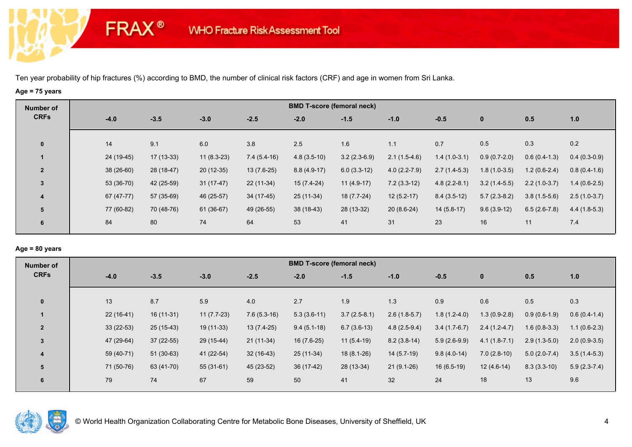**FRAX®** 

# **Age = 75 years**

| Number of      | <b>BMD T-score (femoral neck)</b> |             |              |               |               |                |                |                |                |                |                |  |  |
|----------------|-----------------------------------|-------------|--------------|---------------|---------------|----------------|----------------|----------------|----------------|----------------|----------------|--|--|
| <b>CRFs</b>    | $-4.0$                            | $-3.5$      | $-3.0$       | $-2.5$        | $-2.0$        | $-1.5$         | $-1.0$         | $-0.5$         | $\mathbf 0$    | 0.5            | 1.0            |  |  |
| $\mathbf 0$    | 14                                | 9.1         | 6.0          | 3.8           | 2.5           | 1.6            | 1.1            | 0.7            | 0.5            | 0.3            | 0.2            |  |  |
|                | 24 (19-45)                        | $17(13-33)$ | $11(8.3-23)$ | $7.4(5.4-16)$ | $4.8(3.5-10)$ | $3.2(2.3-6.9)$ | $2.1(1.5-4.6)$ | $1.4(1.0-3.1)$ | $0.9(0.7-2.0)$ | $0.6(0.4-1.3)$ | $0.4(0.3-0.9)$ |  |  |
| $\overline{2}$ | $38(26-60)$                       | 28 (18-47)  | $20(12-35)$  | $13(7.6-25)$  | $8.8(4.9-17)$ | $6.0(3.3-12)$  | $4.0(2.2-7.9)$ | $2.7(1.4-5.3)$ | $1.8(1.0-3.5)$ | $1.2(0.6-2.4)$ | $0.8(0.4-1.6)$ |  |  |
| 3              | 53 (36-70)                        | 42 (25-59)  | $31(17-47)$  | $22(11-34)$   | $15(7.4-24)$  | $11(4.9-17)$   | $7.2(3.3-12)$  | $4.8(2.2-8.1)$ | $3.2(1.4-5.5)$ | $2.2(1.0-3.7)$ | $1.4(0.6-2.5)$ |  |  |
| 4              | 67 (47-77)                        | 57 (35-69)  | 46 (25-57)   | 34 (17-45)    | 25 (11-34)    | 18 (7.7-24)    | $12(5.2-17)$   | $8.4(3.5-12)$  | $5.7(2.3-8.2)$ | $3.8(1.5-5.6)$ | $2.5(1.0-3.7)$ |  |  |
| 5              | 77 (60-82)                        | 70 (48-76)  | 61 (36-67)   | 49 (26-55)    | $38(18-43)$   | 28 (13-32)     | $20(8.6-24)$   | $14(5.8-17)$   | $9.6(3.9-12)$  | $6.5(2.6-7.8)$ | $4.4(1.8-5.3)$ |  |  |
| 6              | 84                                | 80          | 74           | 64            | 53            | 41             | 31             | 23             | 16             | 11             | 7.4            |  |  |

## **Age = 80 years**

| Number of               |             |             |              |               |               | <b>BMD T-score (femoral neck)</b> |                |                |                |                |                |
|-------------------------|-------------|-------------|--------------|---------------|---------------|-----------------------------------|----------------|----------------|----------------|----------------|----------------|
| <b>CRFs</b>             | $-4.0$      | $-3.5$      | $-3.0$       | $-2.5$        | $-2.0$        | $-1.5$                            | $-1.0$         | $-0.5$         | $\mathbf{0}$   | 0.5            | 1.0            |
| $\mathbf{0}$            | 13          | 8.7         | 5.9          | 4.0           | 2.7           | 1.9                               | 1.3            | 0.9            | 0.6            | 0.5            | 0.3            |
|                         | $22(16-41)$ | $16(11-31)$ | $11(7.7-23)$ | $7.6(5.3-16)$ | $5.3(3.6-11)$ | $3.7(2.5-8.1)$                    | $2.6(1.8-5.7)$ | $1.8(1.2-4.0)$ | $1.3(0.9-2.8)$ | $0.9(0.6-1.9)$ | $0.6(0.4-1.4)$ |
| $\overline{2}$          | $33(22-53)$ | 25 (15-43)  | 19 (11-33)   | $13(7.4-25)$  | $9.4(5.1-18)$ | $6.7(3.6-13)$                     | $4.8(2.5-9.4)$ | $3.4(1.7-6.7)$ | $2.4(1.2-4.7)$ | $1.6(0.8-3.3)$ | $1.1(0.6-2.3)$ |
| 3                       | 47 (29-64)  | $37(22-55)$ | 29 (15-44)   | 21 (11-34)    | 16 (7.6-25)   | $11(5.4-19)$                      | $8.2(3.8-14)$  | $5.9(2.6-9.9)$ | $4.1(1.8-7.1)$ | $2.9(1.3-5.0)$ | $2.0(0.9-3.5)$ |
| $\overline{\mathbf{4}}$ | 59 (40-71)  | $51(30-63)$ | 41 (22-54)   | $32(16-43)$   | 25 (11-34)    | $18(8.1-26)$                      | $14(5.7-19)$   | $9.8(4.0-14)$  | $7.0(2.8-10)$  | $5.0(2.0-7.4)$ | $3.5(1.4-5.3)$ |
| 5                       | 71 (50-76)  | 63 (41-70)  | $55(31-61)$  | 45 (23-52)    | 36 (17-42)    | 28 (13-34)                        | $21(9.1-26)$   | $16(6.5-19)$   | $12(4.6-14)$   | $8.3(3.3-10)$  | $5.9(2.3-7.4)$ |
| 6                       | 79          | 74          | 67           | 59            | 50            | 41                                | 32             | 24             | 18             | 13             | 9.6            |